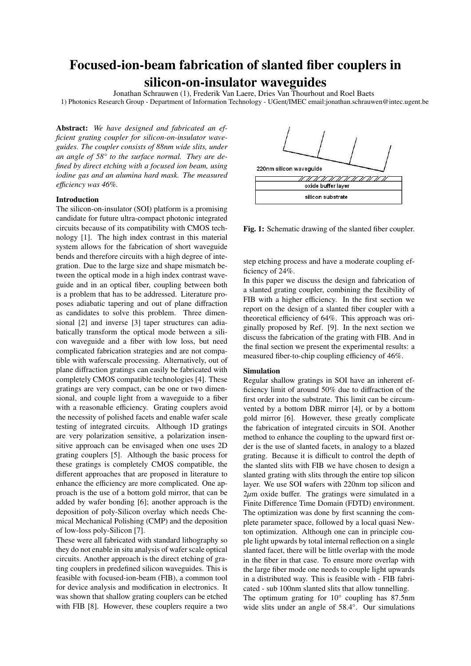# Focused-ion-beam fabrication of slanted fiber couplers in silicon-on-insulator waveguides

Jonathan Schrauwen (1), Frederik Van Laere, Dries Van Thourhout and Roel Baets

1) Photonics Research Group - Department of Information Technology - UGent/IMEC email:jonathan.schrauwen@intec.ugent.be

Abstract: *We have designed and fabricated an efficient grating coupler for silicon-on-insulator waveguides. The coupler consists of 88nm wide slits, under an angle of 58° to the surface normal. They are defined by direct etching with a focused ion beam, using iodine gas and an alumina hard mask. The measured e*ffi*ciency was 46%.*

# Introduction

The silicon-on-insulator (SOI) platform is a promising candidate for future ultra-compact photonic integrated circuits because of its compatibility with CMOS technology [1]. The high index contrast in this material system allows for the fabrication of short waveguide bends and therefore circuits with a high degree of integration. Due to the large size and shape mismatch between the optical mode in a high index contrast waveguide and in an optical fiber, coupling between both is a problem that has to be addressed. Literature proposes adiabatic tapering and out of plane diffraction as candidates to solve this problem. Three dimensional [2] and inverse [3] taper structures can adiabatically transform the optical mode between a silicon waveguide and a fiber with low loss, but need complicated fabrication strategies and are not compatible with waferscale processing. Alternatively, out of plane diffraction gratings can easily be fabricated with completely CMOS compatible technologies [4]. These gratings are very compact, can be one or two dimensional, and couple light from a waveguide to a fiber with a reasonable efficiency. Grating couplers avoid the necessity of polished facets and enable wafer scale testing of integrated circuits. Although 1D gratings are very polarization sensitive, a polarization insensitive approach can be envisaged when one uses 2D grating couplers [5]. Although the basic process for these gratings is completely CMOS compatible, the different approaches that are proposed in literature to enhance the efficiency are more complicated. One approach is the use of a bottom gold mirror, that can be added by wafer bonding [6]; another approach is the deposition of poly-Silicon overlay which needs Chemical Mechanical Polishing (CMP) and the deposition of low-loss poly-Silicon [7].

These were all fabricated with standard lithography so they do not enable in situ analysis of wafer scale optical circuits. Another approach is the direct etching of grating couplers in predefined silicon waveguides. This is feasible with focused-ion-beam (FIB), a common tool for device analysis and modification in electronics. It was shown that shallow grating couplers can be etched with FIB [8]. However, these couplers require a two



Fig. 1: Schematic drawing of the slanted fiber coupler.

step etching process and have a moderate coupling efficiency of 24%.

In this paper we discuss the design and fabrication of a slanted grating coupler, combining the flexibility of FIB with a higher efficiency. In the first section we report on the design of a slanted fiber coupler with a theoretical efficiency of 64%. This approach was originally proposed by Ref. [9]. In the next section we discuss the fabrication of the grating with FIB. And in the final section we present the experimental results: a measured fiber-to-chip coupling efficiency of 46%.

# Simulation

Regular shallow gratings in SOI have an inherent efficiency limit of around 50% due to diffraction of the first order into the substrate. This limit can be circumvented by a bottom DBR mirror [4], or by a bottom gold mirror [6]. However, these greatly complicate the fabrication of integrated circuits in SOI. Another method to enhance the coupling to the upward first order is the use of slanted facets, in analogy to a blazed grating. Because it is difficult to control the depth of the slanted slits with FIB we have chosen to design a slanted grating with slits through the entire top silicon layer. We use SOI wafers with 220nm top silicon and  $2\mu$ m oxide buffer. The gratings were simulated in a Finite Difference Time Domain (FDTD) environment. The optimization was done by first scanning the complete parameter space, followed by a local quasi Newton optimization. Although one can in principle couple light upwards by total internal reflection on a single slanted facet, there will be little overlap with the mode in the fiber in that case. To ensure more overlap with the large fiber mode one needs to couple light upwards in a distributed way. This is feasible with - FIB fabricated - sub 100nm slanted slits that allow tunnelling. The optimum grating for 10° coupling has 87.5nm

wide slits under an angle of 58.4°. Our simulations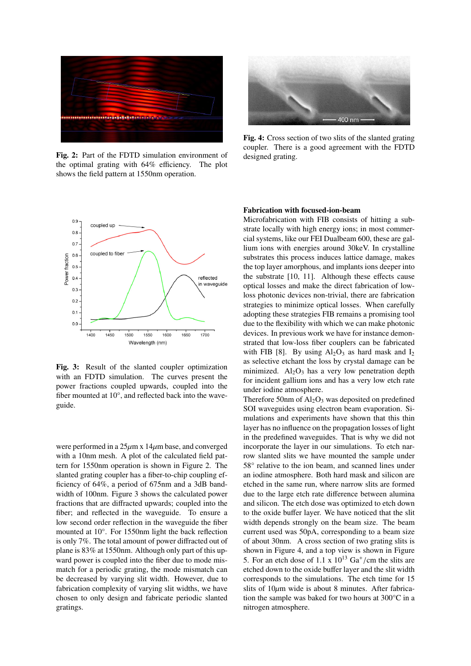

Fig. 2: Part of the FDTD simulation environment of the optimal grating with 64% efficiency. The plot shows the field pattern at 1550nm operation.



Fig. 3: Result of the slanted coupler optimization with an FDTD simulation. The curves present the power fractions coupled upwards, coupled into the fiber mounted at 10°, and reflected back into the waveguide.

were performed in a  $25\mu$ m x 14 $\mu$ m base, and converged with a 10nm mesh. A plot of the calculated field pattern for 1550nm operation is shown in Figure 2. The slanted grating coupler has a fiber-to-chip coupling efficiency of 64%, a period of 675nm and a 3dB bandwidth of 100nm. Figure 3 shows the calculated power fractions that are diffracted upwards; coupled into the fiber; and reflected in the waveguide. To ensure a low second order reflection in the waveguide the fiber mounted at 10°. For 1550nm light the back reflection is only 7%. The total amount of power diffracted out of plane is 83% at 1550nm. Although only part of this upward power is coupled into the fiber due to mode mismatch for a periodic grating, the mode mismatch can be decreased by varying slit width. However, due to fabrication complexity of varying slit widths, we have chosen to only design and fabricate periodic slanted gratings.



Fig. 4: Cross section of two slits of the slanted grating coupler. There is a good agreement with the FDTD designed grating.

#### Fabrication with focused-ion-beam

Microfabrication with FIB consists of hitting a substrate locally with high energy ions; in most commercial systems, like our FEI Dualbeam 600, these are gallium ions with energies around 30keV. In crystalline substrates this process induces lattice damage, makes the top layer amorphous, and implants ions deeper into the substrate [10, 11]. Although these effects cause optical losses and make the direct fabrication of lowloss photonic devices non-trivial, there are fabrication strategies to minimize optical losses. When carefully adopting these strategies FIB remains a promising tool due to the flexibility with which we can make photonic devices. In previous work we have for instance demonstrated that low-loss fiber couplers can be fabricated with FIB [8]. By using  $Al_2O_3$  as hard mask and  $I_2$ as selective etchant the loss by crystal damage can be minimized.  $Al_2O_3$  has a very low penetration depth for incident gallium ions and has a very low etch rate under iodine atmosphere.

Therefore 50nm of  $Al_2O_3$  was deposited on predefined SOI waveguides using electron beam evaporation. Simulations and experiments have shown that this thin layer has no influence on the propagation losses of light in the predefined waveguides. That is why we did not incorporate the layer in our simulations. To etch narrow slanted slits we have mounted the sample under 58° relative to the ion beam, and scanned lines under an iodine atmosphere. Both hard mask and silicon are etched in the same run, where narrow slits are formed due to the large etch rate difference between alumina and silicon. The etch dose was optimized to etch down to the oxide buffer layer. We have noticed that the slit width depends strongly on the beam size. The beam current used was 50pA, corresponding to a beam size of about 30nm. A cross section of two grating slits is shown in Figure 4, and a top view is shown in Figure 5. For an etch dose of  $1.1 \times 10^{13}$  Ga<sup>+</sup>/cm the slits are etched down to the oxide buffer layer and the slit width etched down to the oxide buffer layer and the slit width corresponds to the simulations. The etch time for 15 slits of  $10\mu$ m wide is about 8 minutes. After fabrication the sample was baked for two hours at 300°C in a nitrogen atmosphere.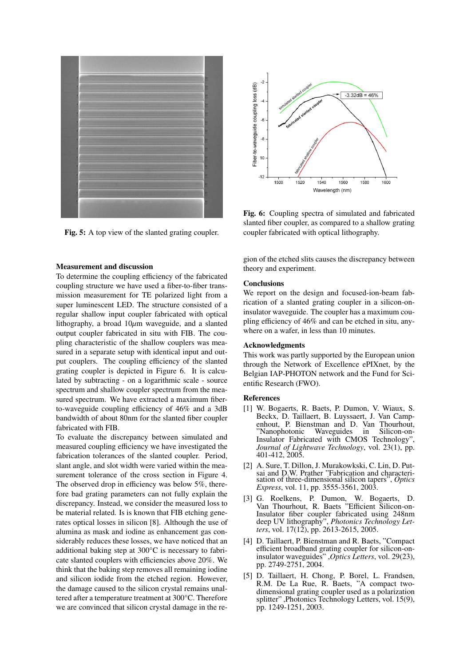

Fig. 5: A top view of the slanted grating coupler.

# Measurement and discussion

To determine the coupling efficiency of the fabricated coupling structure we have used a fiber-to-fiber transmission measurement for TE polarized light from a super luminescent LED. The structure consisted of a regular shallow input coupler fabricated with optical lithography, a broad  $10\mu$ m waveguide, and a slanted output coupler fabricated in situ with FIB. The coupling characteristic of the shallow couplers was measured in a separate setup with identical input and output couplers. The coupling efficiency of the slanted grating coupler is depicted in Figure 6. It is calculated by subtracting - on a logarithmic scale - source spectrum and shallow coupler spectrum from the measured spectrum. We have extracted a maximum fiberto-waveguide coupling efficiency of 46% and a 3dB bandwidth of about 80nm for the slanted fiber coupler fabricated with FIB.

To evaluate the discrepancy between simulated and measured coupling efficiency we have investigated the fabrication tolerances of the slanted coupler. Period, slant angle, and slot width were varied within the measurement tolerance of the cross section in Figure 4. The observed drop in efficiency was below 5%, therefore bad grating parameters can not fully explain the discrepancy. Instead, we consider the measured loss to be material related. Is is known that FIB etching generates optical losses in silicon [8]. Although the use of alumina as mask and iodine as enhancement gas considerably reduces these losses, we have noticed that an additional baking step at 300°C is necessary to fabricate slanted couplers with efficiencies above 20%. We think that the baking step removes all remaining iodine and silicon iodide from the etched region. However, the damage caused to the silicon crystal remains unaltered after a temperature treatment at 300°C. Therefore we are convinced that silicon crystal damage in the re-



Fig. 6: Coupling spectra of simulated and fabricated slanted fiber coupler, as compared to a shallow grating coupler fabricated with optical lithography.

gion of the etched slits causes the discrepancy between theory and experiment.

### **Conclusions**

We report on the design and focused-ion-beam fabrication of a slanted grating coupler in a silicon-oninsulator waveguide. The coupler has a maximum coupling efficiency of 46% and can be etched in situ, anywhere on a wafer, in less than 10 minutes.

#### Acknowledgments

This work was partly supported by the European union through the Network of Excellence ePIXnet, by the Belgian IAP-PHOTON network and the Fund for Scientific Research (FWO).

#### References

- [1] W. Bogaerts, R. Baets, P. Dumon, V. Wiaux, S. Beckx, D. Taillaert, B. Luyssaert, J. Van Campenhout, P. Bienstman and D. Van Thourhout, "Nanophotonic Waveguides in Silicon-on-"Nanophotonic Waveguides in Insulator Fabricated with CMOS Technology", *Journal of Lightwave Technology*, vol. 23(1), pp. 401-412, 2005.
- [2] A. Sure, T. Dillon, J. Murakowkski, C. Lin, D. Putsai and D.W. Prather "Fabrication and characterisation of three-dimensional silicon tapers", *Optics Express*, vol. 11, pp. 3555-3561, 2003.
- [3] G. Roelkens, P. Dumon, W. Bogaerts, D. Van Thourhout, R. Baets "Efficient Silicon-on-Insulator fiber coupler fabricated using 248nm deep UV lithography", *Photonics Technology Letters*, vol. 17(12), pp. 2613-2615, 2005.
- [4] D. Taillaert, P. Bienstman and R. Baets, "Compact efficient broadband grating coupler for silicon-oninsulator waveguides" ,*Optics Letters*, vol. 29(23), pp. 2749-2751, 2004.
- [5] D. Taillaert, H. Chong, P. Borel, L. Frandsen, R.M. De La Rue, R. Baets, "A compact twodimensional grating coupler used as a polarization splitter" ,Photonics Technology Letters, vol. 15(9), pp. 1249-1251, 2003.